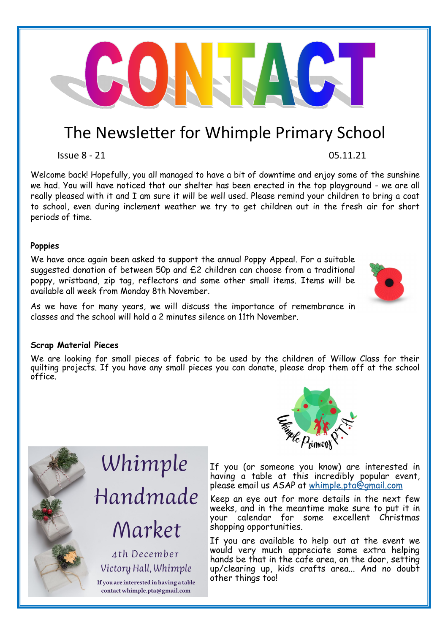## The Newsletter for Whimple Primary School

Issue 8 - 21 05.11.21

Welcome back! Hopefully, you all managed to have a bit of downtime and enjoy some of the sunshine we had. You will have noticed that our shelter has been erected in the top playground - we are all really pleased with it and I am sure it will be well used. Please remind your children to bring a coat to school, even during inclement weather we try to get children out in the fresh air for short periods of time.

## **Poppies**

We have once again been asked to support the annual Poppy Appeal. For a suitable suggested donation of between 50p and £2 children can choose from a traditional poppy, wristband, zip tag, reflectors and some other small items. Items will be available all week from Monday 8th November.

As we have for many years, we will discuss the importance of remembrance in classes and the school will hold a 2 minutes silence on 11th November.

## **Scrap Material Pieces**

We are looking for small pieces of fabric to be used by the children of Willow Class for their quilting projects. If you have any small pieces you can donate, please drop them off at the school office.

> If you (or someone you know) are interested in having a table at this incredibly popular event, please email us ASAP at [whimple.pta@gmail.com](mailto:whimple.pta@gmail.com)

> Keep an eye out for more details in the next few weeks, and in the meantime make sure to put it in your calendar for some excellent Christmas shopping opportunities.

> If you are available to help out at the event we would very much appreciate some extra helping hands be that in the cafe area, on the door, setting up/clearing up, kids crafts area... And no doubt other things too!

## Handmade Market

Whimple

4th December Victory Hall, Whimple

If you are interested in having a table contact whimple.pta@gmail.com